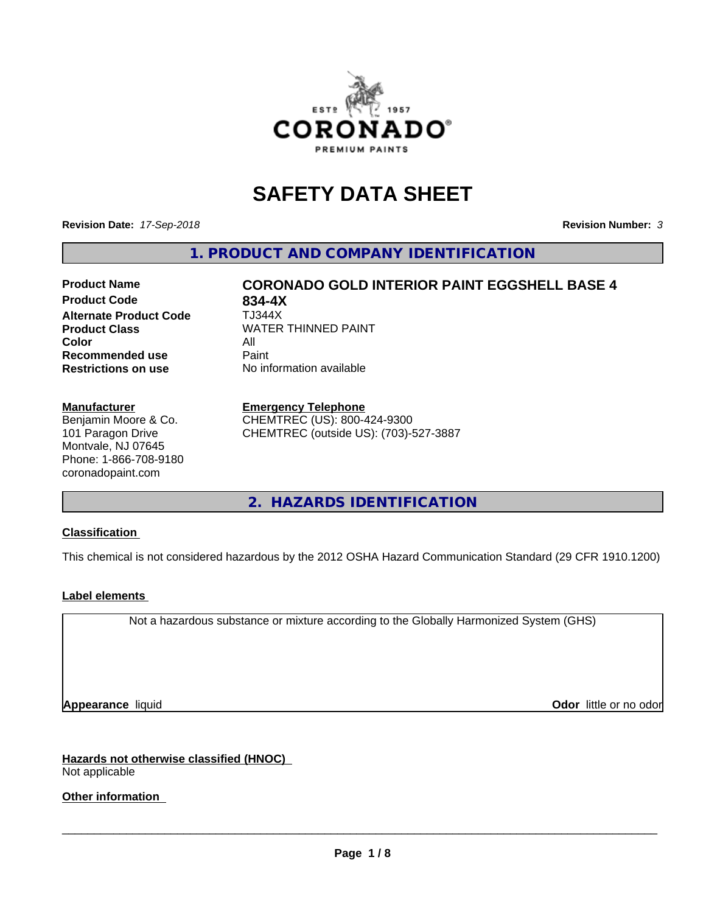

# **SAFETY DATA SHEET**

**Revision Date:** *17-Sep-2018* **Revision Number:** *3*

**1. PRODUCT AND COMPANY IDENTIFICATION**

# **Product Name CORONADO GOLD INTERIOR PAINT EGGSHELL BASE 4**

**Product Code 634-4X<br>
<b>Alternate Product Code** TJ344X **Alternate Product Code Color** All All<br>**Recommended use** Paint **Recommended use Restrictions on use** No information available

**Product Class WATER THINNED PAINT** 

#### **Manufacturer**

Benjamin Moore & Co. 101 Paragon Drive Montvale, NJ 07645 Phone: 1-866-708-9180 coronadopaint.com

#### **Emergency Telephone**

CHEMTREC (US): 800-424-9300 CHEMTREC (outside US): (703)-527-3887

**2. HAZARDS IDENTIFICATION**

#### **Classification**

This chemical is not considered hazardous by the 2012 OSHA Hazard Communication Standard (29 CFR 1910.1200)

#### **Label elements**

Not a hazardous substance or mixture according to the Globally Harmonized System (GHS)

**Appearance** liquid **Contract Contract Contract Contract Contract Contract Contract Contract Contract Contract Contract Contract Contract Contract Contract Contract Contract Contract Contract Contract Contract Contract Con** 

**Hazards not otherwise classified (HNOC)** Not applicable

**Other information**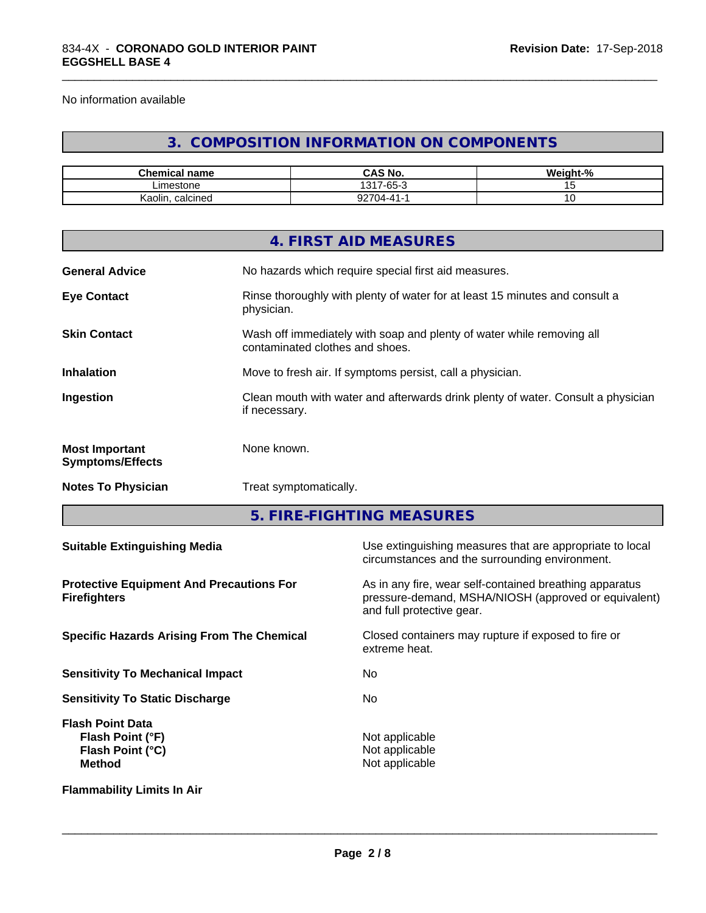No information available

# **3. COMPOSITION INFORMATION ON COMPONENTS**

\_\_\_\_\_\_\_\_\_\_\_\_\_\_\_\_\_\_\_\_\_\_\_\_\_\_\_\_\_\_\_\_\_\_\_\_\_\_\_\_\_\_\_\_\_\_\_\_\_\_\_\_\_\_\_\_\_\_\_\_\_\_\_\_\_\_\_\_\_\_\_\_\_\_\_\_\_\_\_\_\_\_\_\_\_\_\_\_\_\_\_\_\_

| <b>Chemical name</b> | CAS No.<br>$\mathbf{a}$                            | $\cdots$<br>$\sim$<br>.veight-% |
|----------------------|----------------------------------------------------|---------------------------------|
| ∟imestone            | $\sim$<br>1317<br>$\overline{\phantom{a}}$<br>-65- |                                 |
| calcined<br>Kaolin   | ^^7^<br>.04-41-1                                   | ັ                               |

|                                                  | 4. FIRST AID MEASURES                                                                                    |
|--------------------------------------------------|----------------------------------------------------------------------------------------------------------|
| <b>General Advice</b>                            | No hazards which require special first aid measures.                                                     |
| <b>Eye Contact</b>                               | Rinse thoroughly with plenty of water for at least 15 minutes and consult a<br>physician.                |
| <b>Skin Contact</b>                              | Wash off immediately with soap and plenty of water while removing all<br>contaminated clothes and shoes. |
| <b>Inhalation</b>                                | Move to fresh air. If symptoms persist, call a physician.                                                |
| Ingestion                                        | Clean mouth with water and afterwards drink plenty of water. Consult a physician<br>if necessary.        |
| <b>Most Important</b><br><b>Symptoms/Effects</b> | None known.                                                                                              |
| <b>Notes To Physician</b>                        | Treat symptomatically.                                                                                   |
|                                                  |                                                                                                          |

**5. FIRE-FIGHTING MEASURES**

| <b>Suitable Extinguishing Media</b>                                                     | Use extinguishing measures that are appropriate to local<br>circumstances and the surrounding environment.                                   |
|-----------------------------------------------------------------------------------------|----------------------------------------------------------------------------------------------------------------------------------------------|
| <b>Protective Equipment And Precautions For</b><br><b>Firefighters</b>                  | As in any fire, wear self-contained breathing apparatus<br>pressure-demand, MSHA/NIOSH (approved or equivalent)<br>and full protective gear. |
| <b>Specific Hazards Arising From The Chemical</b>                                       | Closed containers may rupture if exposed to fire or<br>extreme heat.                                                                         |
| <b>Sensitivity To Mechanical Impact</b>                                                 | No.                                                                                                                                          |
| <b>Sensitivity To Static Discharge</b>                                                  | No.                                                                                                                                          |
| <b>Flash Point Data</b><br>Flash Point (°F)<br><b>Flash Point (°C)</b><br><b>Method</b> | Not applicable<br>Not applicable<br>Not applicable                                                                                           |
| <b>Flammability Limits In Air</b>                                                       |                                                                                                                                              |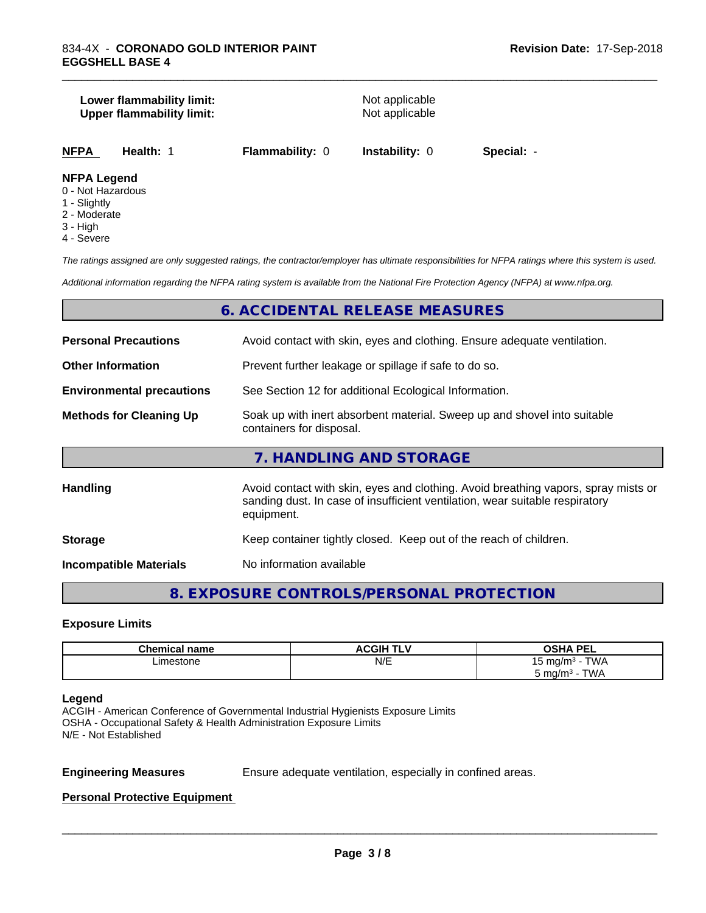#### **Lower flammability limit:**<br>
Upper flammability limit:<br>
Upper flammability limit:<br>
Not applicable **Upper flammability limit:**

**NFPA Health:** 1 **Flammability:** 0 **Instability:** 0 **Special:** -

\_\_\_\_\_\_\_\_\_\_\_\_\_\_\_\_\_\_\_\_\_\_\_\_\_\_\_\_\_\_\_\_\_\_\_\_\_\_\_\_\_\_\_\_\_\_\_\_\_\_\_\_\_\_\_\_\_\_\_\_\_\_\_\_\_\_\_\_\_\_\_\_\_\_\_\_\_\_\_\_\_\_\_\_\_\_\_\_\_\_\_\_\_

#### **NFPA Legend**

- 0 Not Hazardous
- 1 Slightly
- 2 Moderate
- 3 High
- 4 Severe

*The ratings assigned are only suggested ratings, the contractor/employer has ultimate responsibilities for NFPA ratings where this system is used.*

*Additional information regarding the NFPA rating system is available from the National Fire Protection Agency (NFPA) at www.nfpa.org.*

# **6. ACCIDENTAL RELEASE MEASURES**

| <b>Personal Precautions</b>      | Avoid contact with skin, eyes and clothing. Ensure adequate ventilation.                                                                                                         |  |  |
|----------------------------------|----------------------------------------------------------------------------------------------------------------------------------------------------------------------------------|--|--|
| <b>Other Information</b>         | Prevent further leakage or spillage if safe to do so.                                                                                                                            |  |  |
| <b>Environmental precautions</b> | See Section 12 for additional Ecological Information.                                                                                                                            |  |  |
| <b>Methods for Cleaning Up</b>   | Soak up with inert absorbent material. Sweep up and shovel into suitable<br>containers for disposal.                                                                             |  |  |
|                                  | 7. HANDLING AND STORAGE                                                                                                                                                          |  |  |
| <b>Handling</b>                  | Avoid contact with skin, eyes and clothing. Avoid breathing vapors, spray mists or<br>sanding dust. In case of insufficient ventilation, wear suitable respiratory<br>equipment. |  |  |
| <b>Storage</b>                   | Keep container tightly closed. Keep out of the reach of children.                                                                                                                |  |  |
|                                  |                                                                                                                                                                                  |  |  |

**Incompatible Materials** No information available

# **8. EXPOSURE CONTROLS/PERSONAL PROTECTION**

#### **Exposure Limits**

| <b>Chemical name</b> | <b>ACGIH TLV</b> | <b>OSHA PEL</b>            |
|----------------------|------------------|----------------------------|
| Limestone            | N/E              | <b>TWA</b><br>ma/m3<br>ر ا |
|                      |                  | TWA<br>് mg/m്             |

#### **Legend**

ACGIH - American Conference of Governmental Industrial Hygienists Exposure Limits OSHA - Occupational Safety & Health Administration Exposure Limits N/E - Not Established

**Engineering Measures** Ensure adequate ventilation, especially in confined areas.

 $\overline{\phantom{a}}$  ,  $\overline{\phantom{a}}$  ,  $\overline{\phantom{a}}$  ,  $\overline{\phantom{a}}$  ,  $\overline{\phantom{a}}$  ,  $\overline{\phantom{a}}$  ,  $\overline{\phantom{a}}$  ,  $\overline{\phantom{a}}$  ,  $\overline{\phantom{a}}$  ,  $\overline{\phantom{a}}$  ,  $\overline{\phantom{a}}$  ,  $\overline{\phantom{a}}$  ,  $\overline{\phantom{a}}$  ,  $\overline{\phantom{a}}$  ,  $\overline{\phantom{a}}$  ,  $\overline{\phantom{a}}$ 

#### **Personal Protective Equipment**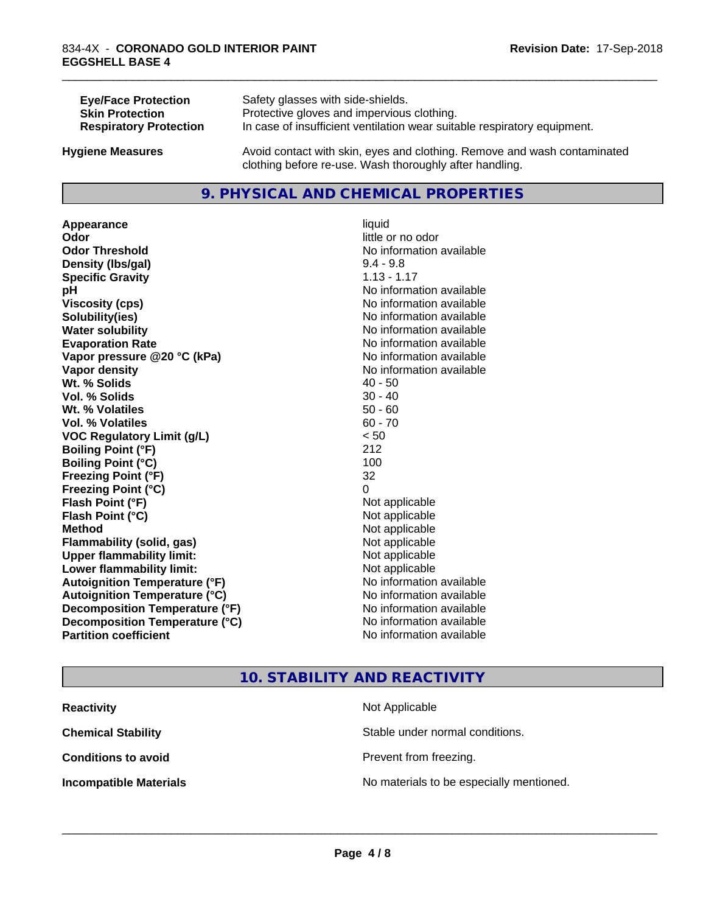| <b>Eye/Face Protection</b>    | Safety glasses with side-shields.                                        |
|-------------------------------|--------------------------------------------------------------------------|
| <b>Skin Protection</b>        | Protective gloves and impervious clothing.                               |
| <b>Respiratory Protection</b> | In case of insufficient ventilation wear suitable respiratory equipment. |
| <b>Hygiene Measures</b>       | Avoid contact with skin, eyes and clothing. Remove and wash contaminated |

#### **9. PHYSICAL AND CHEMICAL PROPERTIES**

clothing before re-use. Wash thoroughly after handling.

**Appearance** liquid **Odor** liquid **Odor Odor Threshold No information available No information available Density (lbs/gal)** 9.4 - 9.8 **Specific Gravity** 1.13 - 1.17 **pH** No information available **Viscosity (cps)** No information available **Solubility(ies)** No information available **Water solubility Water solubility Water solubility Water solubility Water solubility Water solution Evaporation Rate No information available No information available Vapor pressure @20 °C (kPa)** No information available **Vapor density No information available Wt.** % Solids 40 - 50 **Vol. % Solids** 30 - 40 **Wt. % Volatiles** 50 - 60 **Vol. % Volatiles** 60 - 70 **VOC Regulatory Limit (g/L)** < 50 **Boiling Point (°F)** 212 **Boiling Point**  $(^{\circ}C)$  100 **Freezing Point (°F)** 32 **Freezing Point (°C)** 0 **Flash Point (°F)**<br> **Flash Point (°C)**<br> **Flash Point (°C)**<br> **Point (°C) Flash Point (°C) Method** Not applicable **Flammability (solid, gas)** Not applicable **Upper flammability limit:** Not applicable **Lower flammability limit:** Not applicable **Autoignition Temperature (°F)** No information available **Autoignition Temperature (°C)** No information available **Decomposition Temperature (°F)**<br> **Decomposition Temperature (°C)**<br>
No information available **Decomposition Temperature (°C)**<br>Partition coefficient

little or no odor **No information available** 

\_\_\_\_\_\_\_\_\_\_\_\_\_\_\_\_\_\_\_\_\_\_\_\_\_\_\_\_\_\_\_\_\_\_\_\_\_\_\_\_\_\_\_\_\_\_\_\_\_\_\_\_\_\_\_\_\_\_\_\_\_\_\_\_\_\_\_\_\_\_\_\_\_\_\_\_\_\_\_\_\_\_\_\_\_\_\_\_\_\_\_\_\_

# **10. STABILITY AND REACTIVITY**

| <b>Reactivity</b>             | Not Applicable                           |
|-------------------------------|------------------------------------------|
| <b>Chemical Stability</b>     | Stable under normal conditions.          |
| <b>Conditions to avoid</b>    | Prevent from freezing.                   |
| <b>Incompatible Materials</b> | No materials to be especially mentioned. |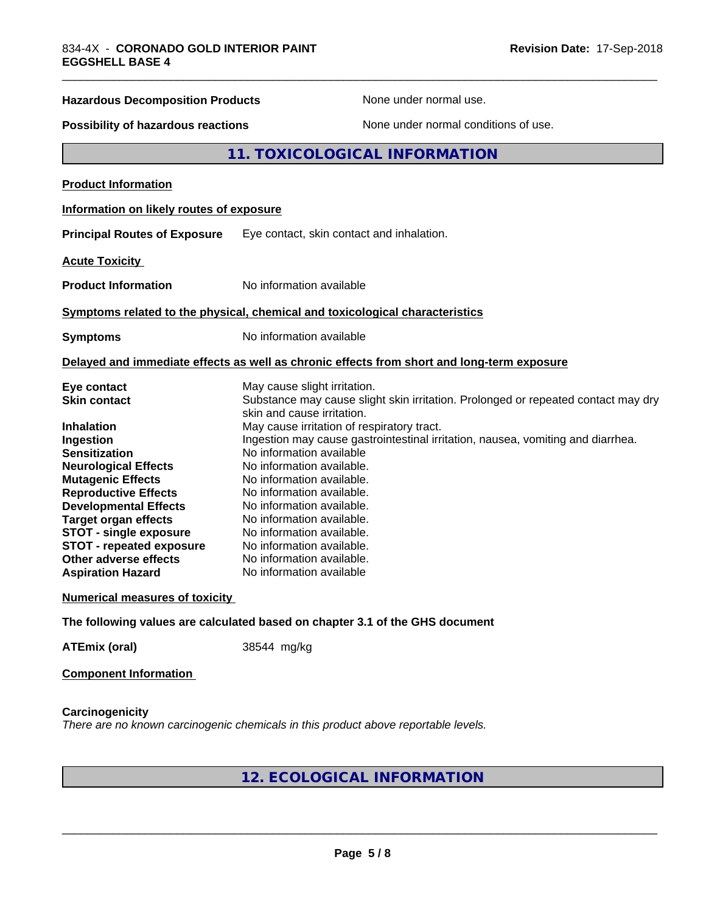| <b>Hazardous Decomposition Products</b>   | None under normal use.                                                                                          |
|-------------------------------------------|-----------------------------------------------------------------------------------------------------------------|
| <b>Possibility of hazardous reactions</b> | None under normal conditions of use.                                                                            |
|                                           | <b>11. TOXICOLOGICAL INFORMATION</b>                                                                            |
| <b>Product Information</b>                |                                                                                                                 |
| Information on likely routes of exposure  |                                                                                                                 |
| <b>Principal Routes of Exposure</b>       | Eye contact, skin contact and inhalation.                                                                       |
| <b>Acute Toxicity</b>                     |                                                                                                                 |
| <b>Product Information</b>                | No information available                                                                                        |
|                                           | Symptoms related to the physical, chemical and toxicological characteristics                                    |
| <b>Symptoms</b>                           | No information available                                                                                        |
|                                           | Delayed and immediate effects as well as chronic effects from short and long-term exposure                      |
| Eye contact                               | May cause slight irritation.                                                                                    |
| <b>Skin contact</b>                       | Substance may cause slight skin irritation. Prolonged or repeated contact may dry<br>skin and cause irritation. |
| Inhalation                                | May cause irritation of respiratory tract.                                                                      |
| Ingestion                                 | Ingestion may cause gastrointestinal irritation, nausea, vomiting and diarrhea.                                 |
| <b>Sensitization</b>                      | No information available                                                                                        |
| <b>Neurological Effects</b>               | No information available.                                                                                       |
| <b>Mutagenic Effects</b>                  | No information available.                                                                                       |
| <b>Reproductive Effects</b>               | No information available.                                                                                       |
| <b>Developmental Effects</b>              | No information available.                                                                                       |
| <b>Target organ effects</b>               | No information available.                                                                                       |
| <b>STOT - single exposure</b>             | No information available.                                                                                       |
| <b>STOT - repeated exposure</b>           | No information available.                                                                                       |
| Other adverse effects                     | No information available.                                                                                       |
| <b>Aspiration Hazard</b>                  | No information available                                                                                        |

#### **Numerical measures of toxicity**

**The following values are calculated based on chapter 3.1 of the GHS document**

**ATEmix (oral)** 38544 mg/kg

**Component Information**

**Carcinogenicity** *There are no known carcinogenic chemicals in this product above reportable levels.*

# **12. ECOLOGICAL INFORMATION**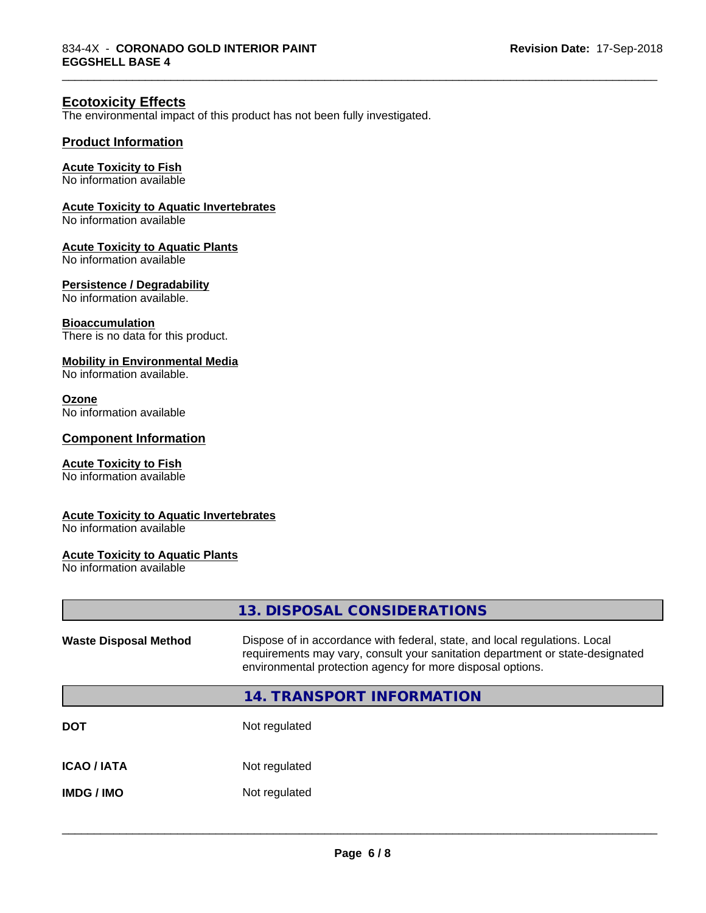\_\_\_\_\_\_\_\_\_\_\_\_\_\_\_\_\_\_\_\_\_\_\_\_\_\_\_\_\_\_\_\_\_\_\_\_\_\_\_\_\_\_\_\_\_\_\_\_\_\_\_\_\_\_\_\_\_\_\_\_\_\_\_\_\_\_\_\_\_\_\_\_\_\_\_\_\_\_\_\_\_\_\_\_\_\_\_\_\_\_\_\_\_

# **Ecotoxicity Effects**

The environmental impact of this product has not been fully investigated.

#### **Product Information**

#### **Acute Toxicity to Fish**

No information available

#### **Acute Toxicity to Aquatic Invertebrates**

No information available

#### **Acute Toxicity to Aquatic Plants**

No information available

#### **Persistence / Degradability**

No information available.

#### **Bioaccumulation**

There is no data for this product.

#### **Mobility in Environmental Media**

No information available.

#### **Ozone**

No information available

#### **Component Information**

#### **Acute Toxicity to Fish**

No information available

#### **Acute Toxicity to Aquatic Invertebrates**

No information available

#### **Acute Toxicity to Aquatic Plants**

No information available

|                              | 13. DISPOSAL CONSIDERATIONS                                                                                                                                                                                               |
|------------------------------|---------------------------------------------------------------------------------------------------------------------------------------------------------------------------------------------------------------------------|
| <b>Waste Disposal Method</b> | Dispose of in accordance with federal, state, and local regulations. Local<br>requirements may vary, consult your sanitation department or state-designated<br>environmental protection agency for more disposal options. |
|                              | <b>14. TRANSPORT INFORMATION</b>                                                                                                                                                                                          |
| DOT                          | Not regulated                                                                                                                                                                                                             |
| ICAO / IATA                  | Not regulated                                                                                                                                                                                                             |
| IMDG / IMO                   | Not regulated                                                                                                                                                                                                             |
|                              |                                                                                                                                                                                                                           |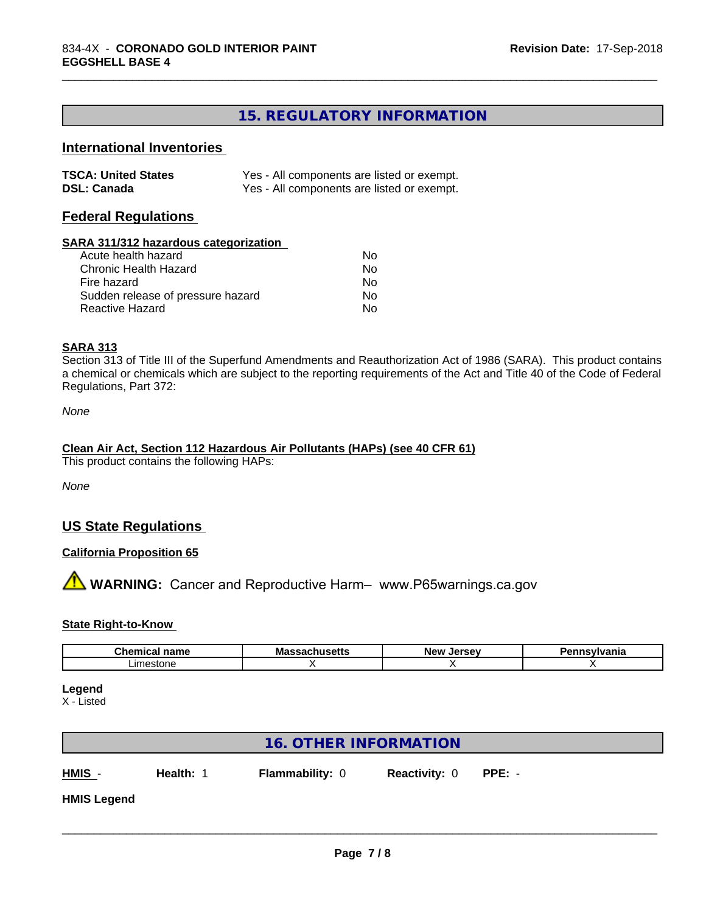# **15. REGULATORY INFORMATION**

\_\_\_\_\_\_\_\_\_\_\_\_\_\_\_\_\_\_\_\_\_\_\_\_\_\_\_\_\_\_\_\_\_\_\_\_\_\_\_\_\_\_\_\_\_\_\_\_\_\_\_\_\_\_\_\_\_\_\_\_\_\_\_\_\_\_\_\_\_\_\_\_\_\_\_\_\_\_\_\_\_\_\_\_\_\_\_\_\_\_\_\_\_

# **International Inventories**

| <b>TSCA: United States</b> | Yes - All components are listed or exempt. |
|----------------------------|--------------------------------------------|
| <b>DSL: Canada</b>         | Yes - All components are listed or exempt. |

#### **Federal Regulations**

#### **SARA 311/312 hazardous categorization**

| Acute health hazard               | Nο |
|-----------------------------------|----|
| Chronic Health Hazard             | Nο |
| Fire hazard                       | N٥ |
| Sudden release of pressure hazard | Nο |
| Reactive Hazard                   | N٥ |

#### **SARA 313**

Section 313 of Title III of the Superfund Amendments and Reauthorization Act of 1986 (SARA). This product contains a chemical or chemicals which are subject to the reporting requirements of the Act and Title 40 of the Code of Federal Regulations, Part 372:

*None*

# **Clean Air Act,Section 112 Hazardous Air Pollutants (HAPs) (see 40 CFR 61)**

This product contains the following HAPs:

*None*

# **US State Regulations**

#### **California Proposition 65**

**AVIMARNING:** Cancer and Reproductive Harm– www.P65warnings.ca.gov

#### **State Right-to-Know**

| -- - -- -<br>---<br>name<br> | м.<br>ша<br>. | <b>Nev</b> | . |
|------------------------------|---------------|------------|---|
| ∟ım<br>estone                |               |            |   |

**Legend**

X - Listed

|                    | <b>16. OTHER INFORMATION</b> |                        |                      |          |  |
|--------------------|------------------------------|------------------------|----------------------|----------|--|
| HMIS -             | Health: 1                    | <b>Flammability: 0</b> | <b>Reactivity: 0</b> | $PPE: -$ |  |
| <b>HMIS Legend</b> |                              |                        |                      |          |  |
|                    |                              |                        |                      |          |  |